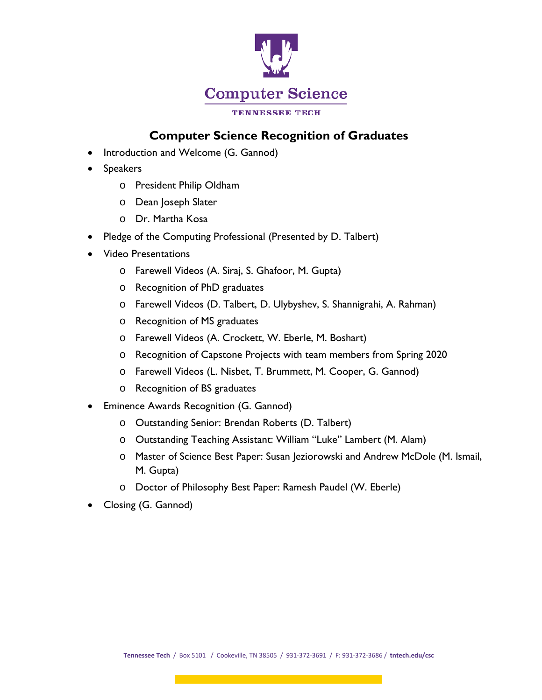

## **Computer Science Recognition of Graduates**

- Introduction and Welcome (G. Gannod)
- Speakers
	- o President Philip Oldham
	- o Dean Joseph Slater
	- o Dr. Martha Kosa
- Pledge of the Computing Professional (Presented by D. Talbert)
- Video Presentations
	- o Farewell Videos (A. Siraj, S. Ghafoor, M. Gupta)
	- o Recognition of PhD graduates
	- o Farewell Videos (D. Talbert, D. Ulybyshev, S. Shannigrahi, A. Rahman)
	- o Recognition of MS graduates
	- o Farewell Videos (A. Crockett, W. Eberle, M. Boshart)
	- o Recognition of Capstone Projects with team members from Spring 2020
	- o Farewell Videos (L. Nisbet, T. Brummett, M. Cooper, G. Gannod)
	- o Recognition of BS graduates
- Eminence Awards Recognition (G. Gannod)
	- o Outstanding Senior: Brendan Roberts (D. Talbert)
	- o Outstanding Teaching Assistant: William "Luke" Lambert (M. Alam)
	- o Master of Science Best Paper: Susan Jeziorowski and Andrew McDole (M. Ismail, M. Gupta)
	- o Doctor of Philosophy Best Paper: Ramesh Paudel (W. Eberle)
- Closing (G. Gannod)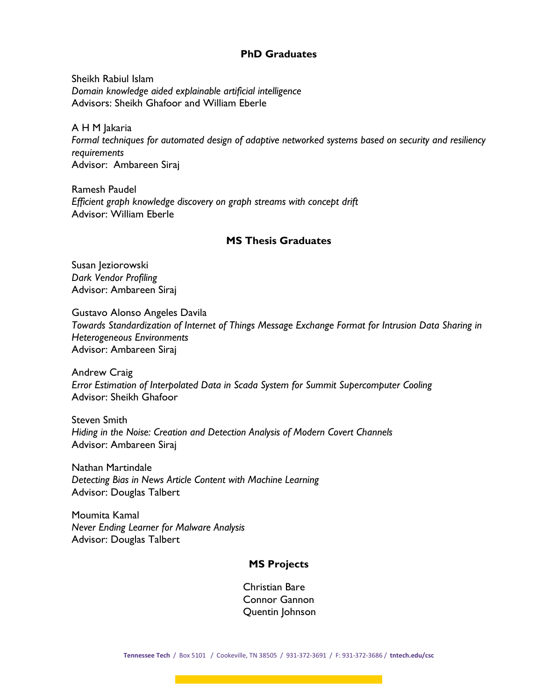## **PhD Graduates**

Sheikh Rabiul Islam *Domain knowledge aided explainable artificial intelligence* Advisors: Sheikh Ghafoor and William Eberle

A H M Jakaria *Formal techniques for automated design of adaptive networked systems based on security and resiliency requirements* Advisor: Ambareen Siraj

Ramesh Paudel *Efficient graph knowledge discovery on graph streams with concept drift* Advisor: William Eberle

## **MS Thesis Graduates**

Susan Jeziorowski *Dark Vendor Profiling* Advisor: Ambareen Siraj

Gustavo Alonso Angeles Davila *Towards Standardization of Internet of Things Message Exchange Format for Intrusion Data Sharing in Heterogeneous Environments*  Advisor: Ambareen Siraj

Andrew Craig *Error Estimation of Interpolated Data in Scada System for Summit Supercomputer Cooling*  Advisor: Sheikh Ghafoor

Steven Smith *Hiding in the Noise: Creation and Detection Analysis of Modern Covert Channels*  Advisor: Ambareen Siraj

Nathan Martindale *Detecting Bias in News Article Content with Machine Learning* Advisor: Douglas Talbert

Moumita Kamal *Never Ending Learner for Malware Analysis* Advisor: Douglas Talbert

## **MS Projects**

Christian Bare Connor Gannon Quentin Johnson